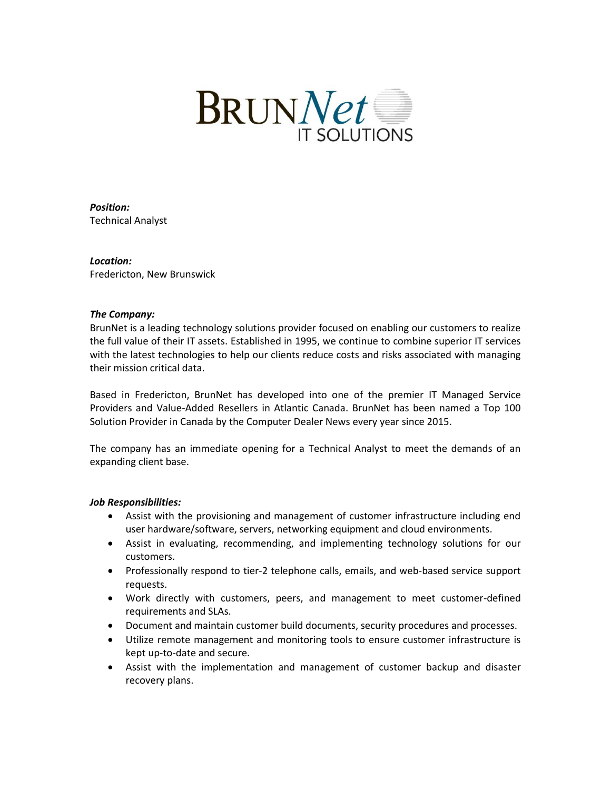

*Position:* Technical Analyst

# *Location:*

Fredericton, New Brunswick

#### *The Company:*

BrunNet is a leading technology solutions provider focused on enabling our customers to realize the full value of their IT assets. Established in 1995, we continue to combine superior IT services with the latest technologies to help our clients reduce costs and risks associated with managing their mission critical data.

Based in Fredericton, BrunNet has developed into one of the premier IT Managed Service Providers and Value-Added Resellers in Atlantic Canada. BrunNet has been named a Top 100 Solution Provider in Canada by the Computer Dealer News every year since 2015.

The company has an immediate opening for a Technical Analyst to meet the demands of an expanding client base.

### *Job Responsibilities:*

- Assist with the provisioning and management of customer infrastructure including end user hardware/software, servers, networking equipment and cloud environments.
- Assist in evaluating, recommending, and implementing technology solutions for our customers.
- Professionally respond to tier-2 telephone calls, emails, and web-based service support requests.
- Work directly with customers, peers, and management to meet customer-defined requirements and SLAs.
- Document and maintain customer build documents, security procedures and processes.
- Utilize remote management and monitoring tools to ensure customer infrastructure is kept up-to-date and secure.
- Assist with the implementation and management of customer backup and disaster recovery plans.